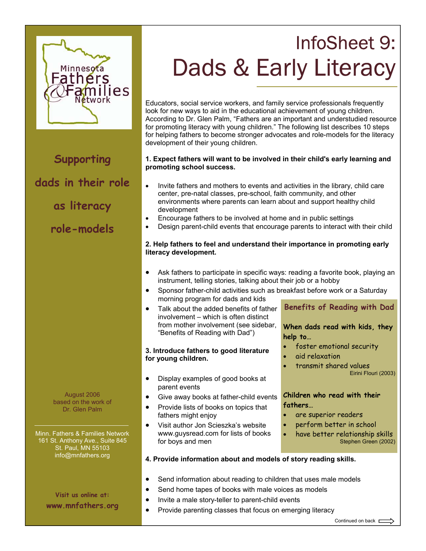

**Supporting dads in their role** 

**as literacy** 

## **role-models**

August 2006 based on the work of Dr. Glen Palm

Minn. Fathers & Families Network 161 St. Anthony Ave., Suite 845 St. Paul, MN 55103 info@mnfathers.org

> **Visit us online at: www.mnfathers.org**

# InfoSheet 9:<br>Dads & Early Literacy  $\overline{a}$

Educators, social service workers, and family service professionals frequently look for new ways to aid in the educational achievement of young children. According to Dr. Glen Palm, "Fathers are an important and understudied resource for promoting literacy with young children." The following list describes 10 steps for helping fathers to become stronger advocates and role-models for the literacy development of their young children.

## **1. Expect fathers will want to be involved in their child's early learning and promoting school success.**

- Invite fathers and mothers to events and activities in the library, child care center, pre-natal classes, pre-school, faith community, and other environments where parents can learn about and support healthy child development
- Encourage fathers to be involved at home and in public settings
- Design parent-child events that encourage parents to interact with their child

## **2. Help fathers to feel and understand their importance in promoting early literacy development.**

- Ask fathers to participate in specific ways: reading a favorite book, playing an instrument, telling stories, talking about their job or a hobby
- Sponsor father-child activities such as breakfast before work or a Saturday morning program for dads and kids
- Talk about the added benefits of father involvement – which is often distinct from mother involvement (see sidebar, "Benefits of Reading with Dad")

## **3. Introduce fathers to good literature for young children.**

- Display examples of good books at parent events
- Give away books at father-child events
- Provide lists of books on topics that fathers might enjoy
- Visit author Jon Scieszka's website www.guysread.com for lists of books for boys and men

## **Benefits of Reading with Dad**

**When dads read with kids, they help to…** 

- foster emotional security
- aid relaxation
- transmit shared values Eirini Flouri (2003)

## **Children who read with their fathers…**

- are superior readers
- perform better in school
- have better relationship skills Stephen Green (2002)

## **4. Provide information about and models of story reading skills.**

- Send information about reading to children that uses male models
- Send home tapes of books with male voices as models
- Invite a male story-teller to parent-child events
- Provide parenting classes that focus on emerging literacy

Continued on back  $\Box$